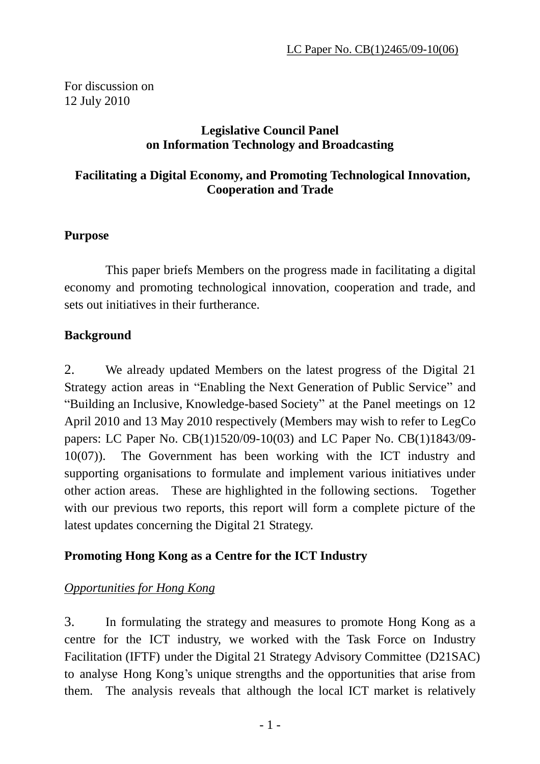For discussion on 12 July 2010

#### **Legislative Council Panel on Information Technology and Broadcasting**

### **Facilitating a Digital Economy, and Promoting Technological Innovation, Cooperation and Trade**

#### **Purpose**

 This paper briefs Members on the progress made in facilitating a digital economy and promoting technological innovation, cooperation and trade, and sets out initiatives in their furtherance.

#### **Background**

2. We already updated Members on the latest progress of the Digital 21 Strategy action areas in "Enabling the Next Generation of Public Service" and "Building an Inclusive, Knowledge-based Society" at the Panel meetings on 12 April 2010 and 13 May 2010 respectively (Members may wish to refer to LegCo papers: LC Paper No. CB(1)1520/09-10(03) and LC Paper No. CB(1)1843/09- 10(07)). The Government has been working with the ICT industry and supporting organisations to formulate and implement various initiatives under other action areas. These are highlighted in the following sections. Together with our previous two reports, this report will form a complete picture of the latest updates concerning the Digital 21 Strategy.

### **Promoting Hong Kong as a Centre for the ICT Industry**

### *Opportunities for Hong Kong*

3. In formulating the strategy and measures to promote Hong Kong as a centre for the ICT industry, we worked with the Task Force on Industry Facilitation (IFTF) under the Digital 21 Strategy Advisory Committee (D21SAC) to analyse Hong Kong's unique strengths and the opportunities that arise from them. The analysis reveals that although the local ICT market is relatively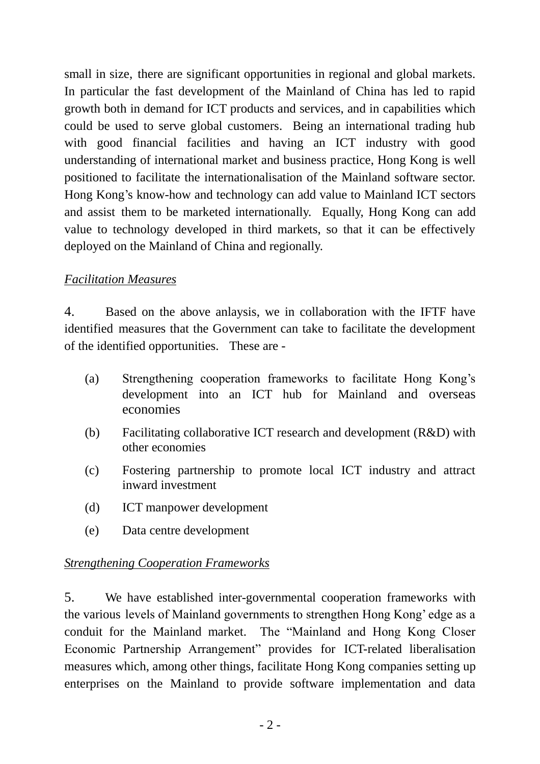small in size, there are significant opportunities in regional and global markets. In particular the fast development of the Mainland of China has led to rapid growth both in demand for ICT products and services, and in capabilities which could be used to serve global customers. Being an international trading hub with good financial facilities and having an ICT industry with good understanding of international market and business practice, Hong Kong is well positioned to facilitate the internationalisation of the Mainland software sector. Hong Kong's know-how and technology can add value to Mainland ICT sectors and assist them to be marketed internationally. Equally, Hong Kong can add value to technology developed in third markets, so that it can be effectively deployed on the Mainland of China and regionally.

### *Facilitation Measures*

4. Based on the above anlaysis, we in collaboration with the IFTF have identified measures that the Government can take to facilitate the development of the identified opportunities. These are -

- (a) Strengthening cooperation frameworks to facilitate Hong Kong's development into an ICT hub for Mainland and overseas economies
- (b) Facilitating collaborative ICT research and development (R&D) with other economies
- (c) Fostering partnership to promote local ICT industry and attract inward investment
- (d) ICT manpower development
- (e) Data centre development

### *Strengthening Cooperation Frameworks*

5. We have established inter-governmental cooperation frameworks with the various levels of Mainland governments to strengthen Hong Kong' edge as a conduit for the Mainland market. The "Mainland and Hong Kong Closer Economic Partnership Arrangement" provides for ICT-related liberalisation measures which, among other things, facilitate Hong Kong companies setting up enterprises on the Mainland to provide software implementation and data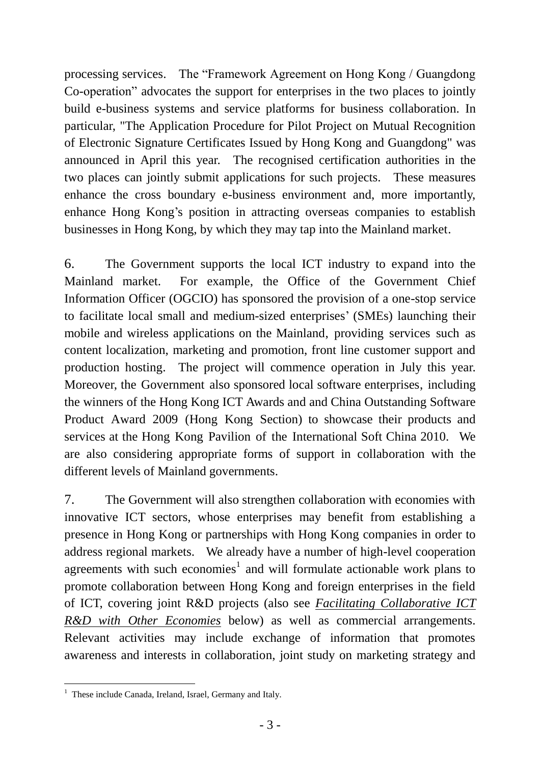processing services. The "Framework Agreement on Hong Kong / Guangdong Co-operation" advocates the support for enterprises in the two places to jointly build e-business systems and service platforms for business collaboration. In particular, "The Application Procedure for Pilot Project on Mutual Recognition of Electronic Signature Certificates Issued by Hong Kong and Guangdong" was announced in April this year. The recognised certification authorities in the two places can jointly submit applications for such projects. These measures enhance the cross boundary e-business environment and, more importantly, enhance Hong Kong's position in attracting overseas companies to establish businesses in Hong Kong, by which they may tap into the Mainland market.

6. The Government supports the local ICT industry to expand into the Mainland market. For example, the Office of the Government Chief Information Officer (OGCIO) has sponsored the provision of a one-stop service to facilitate local small and medium-sized enterprises' (SMEs) launching their mobile and wireless applications on the Mainland, providing services such as content localization, marketing and promotion, front line customer support and production hosting. The project will commence operation in July this year. Moreover, the Government also sponsored local software enterprises, including the winners of the Hong Kong ICT Awards and and China Outstanding Software Product Award 2009 (Hong Kong Section) to showcase their products and services at the Hong Kong Pavilion of the International Soft China 2010. We are also considering appropriate forms of support in collaboration with the different levels of Mainland governments.

7. The Government will also strengthen collaboration with economies with innovative ICT sectors, whose enterprises may benefit from establishing a presence in Hong Kong or partnerships with Hong Kong companies in order to address regional markets. We already have a number of high-level cooperation agreements with such economies<sup>1</sup> and will formulate actionable work plans to promote collaboration between Hong Kong and foreign enterprises in the field of ICT, covering joint R&D projects (also see *Facilitating Collaborative ICT R&D with Other Economies* below) as well as commercial arrangements. Relevant activities may include exchange of information that promotes awareness and interests in collaboration, joint study on marketing strategy and

 $\overline{a}$ 

<sup>&</sup>lt;sup>1</sup> These include Canada, Ireland, Israel, Germany and Italy.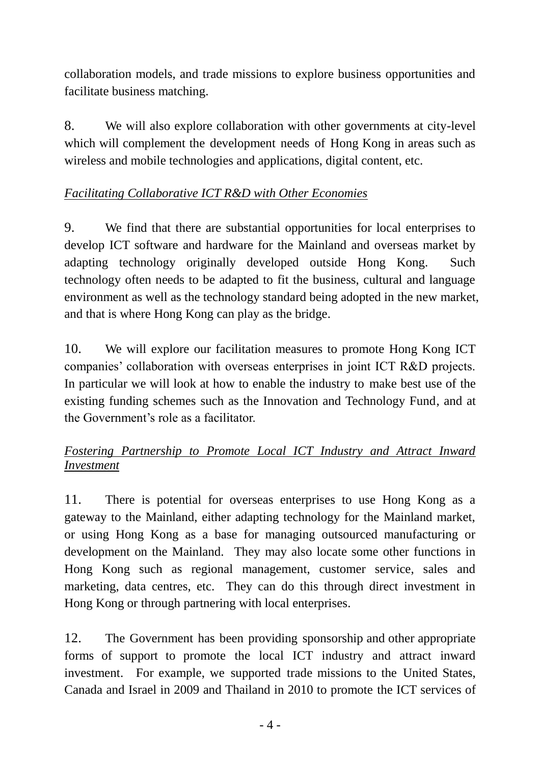collaboration models, and trade missions to explore business opportunities and facilitate business matching.

8. We will also explore collaboration with other governments at city-level which will complement the development needs of Hong Kong in areas such as wireless and mobile technologies and applications, digital content, etc.

## *Facilitating Collaborative ICT R&D with Other Economies*

9. We find that there are substantial opportunities for local enterprises to develop ICT software and hardware for the Mainland and overseas market by adapting technology originally developed outside Hong Kong. Such technology often needs to be adapted to fit the business, cultural and language environment as well as the technology standard being adopted in the new market, and that is where Hong Kong can play as the bridge.

10. We will explore our facilitation measures to promote Hong Kong ICT companies' collaboration with overseas enterprises in joint ICT R&D projects. In particular we will look at how to enable the industry to make best use of the existing funding schemes such as the Innovation and Technology Fund, and at the Government's role as a facilitator.

# *Fostering Partnership to Promote Local ICT Industry and Attract Inward Investment*

11. There is potential for overseas enterprises to use Hong Kong as a gateway to the Mainland, either adapting technology for the Mainland market, or using Hong Kong as a base for managing outsourced manufacturing or development on the Mainland. They may also locate some other functions in Hong Kong such as regional management, customer service, sales and marketing, data centres, etc. They can do this through direct investment in Hong Kong or through partnering with local enterprises.

12. The Government has been providing sponsorship and other appropriate forms of support to promote the local ICT industry and attract inward investment. For example, we supported trade missions to the United States, Canada and Israel in 2009 and Thailand in 2010 to promote the ICT services of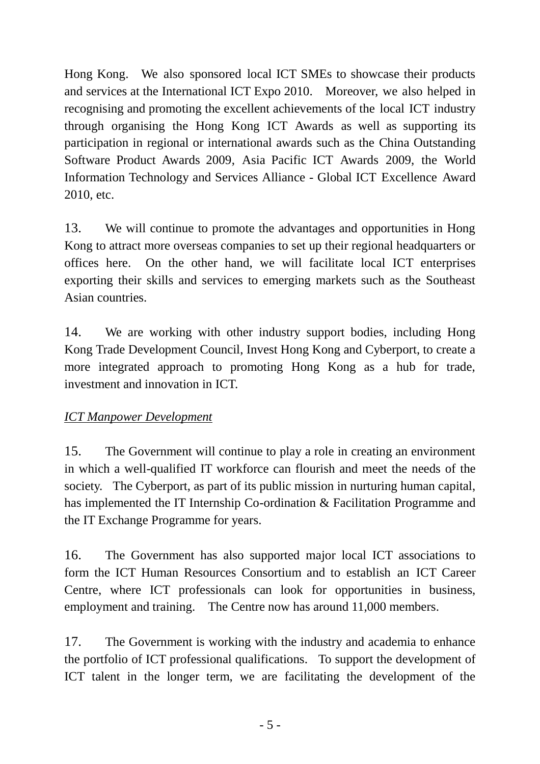Hong Kong. We also sponsored local ICT SMEs to showcase their products and services at the International ICT Expo 2010. Moreover, we also helped in recognising and promoting the excellent achievements of the local ICT industry through organising the Hong Kong ICT Awards as well as supporting its participation in regional or international awards such as the China Outstanding Software Product Awards 2009, Asia Pacific ICT Awards 2009, the World Information Technology and Services Alliance - Global ICT Excellence Award 2010, etc.

13. We will continue to promote the advantages and opportunities in Hong Kong to attract more overseas companies to set up their regional headquarters or offices here. On the other hand, we will facilitate local ICT enterprises exporting their skills and services to emerging markets such as the Southeast Asian countries.

14. We are working with other industry support bodies, including Hong Kong Trade Development Council, Invest Hong Kong and Cyberport, to create a more integrated approach to promoting Hong Kong as a hub for trade, investment and innovation in ICT.

# *ICT Manpower Development*

15. The Government will continue to play a role in creating an environment in which a well-qualified IT workforce can flourish and meet the needs of the society. The Cyberport, as part of its public mission in nurturing human capital, has implemented the IT Internship Co-ordination & Facilitation Programme and the IT Exchange Programme for years.

16. The Government has also supported major local ICT associations to form the ICT Human Resources Consortium and to establish an ICT Career Centre, where ICT professionals can look for opportunities in business, employment and training. The Centre now has around 11,000 members.

17. The Government is working with the industry and academia to enhance the portfolio of ICT professional qualifications. To support the development of ICT talent in the longer term, we are facilitating the development of the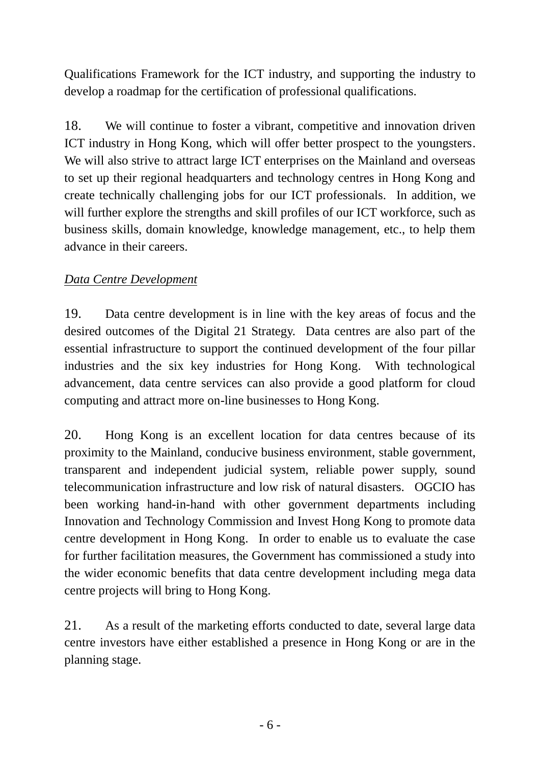Qualifications Framework for the ICT industry, and supporting the industry to develop a roadmap for the certification of professional qualifications.

18. We will continue to foster a vibrant, competitive and innovation driven ICT industry in Hong Kong, which will offer better prospect to the youngsters. We will also strive to attract large ICT enterprises on the Mainland and overseas to set up their regional headquarters and technology centres in Hong Kong and create technically challenging jobs for our ICT professionals. In addition, we will further explore the strengths and skill profiles of our ICT workforce, such as business skills, domain knowledge, knowledge management, etc., to help them advance in their careers.

## *Data Centre Development*

19. Data centre development is in line with the key areas of focus and the desired outcomes of the Digital 21 Strategy. Data centres are also part of the essential infrastructure to support the continued development of the four pillar industries and the six key industries for Hong Kong. With technological advancement, data centre services can also provide a good platform for cloud computing and attract more on-line businesses to Hong Kong.

20. Hong Kong is an excellent location for data centres because of its proximity to the Mainland, conducive business environment, stable government, transparent and independent judicial system, reliable power supply, sound telecommunication infrastructure and low risk of natural disasters. OGCIO has been working hand-in-hand with other government departments including Innovation and Technology Commission and Invest Hong Kong to promote data centre development in Hong Kong. In order to enable us to evaluate the case for further facilitation measures, the Government has commissioned a study into the wider economic benefits that data centre development including mega data centre projects will bring to Hong Kong.

21. As a result of the marketing efforts conducted to date, several large data centre investors have either established a presence in Hong Kong or are in the planning stage.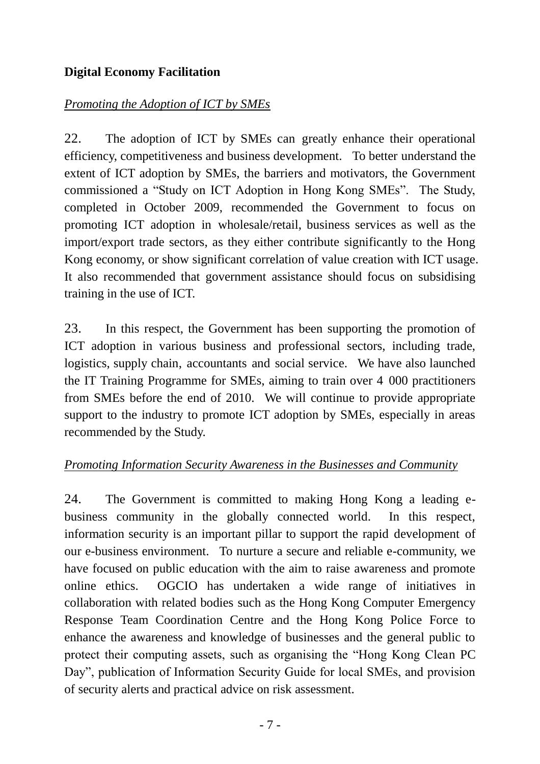## **Digital Economy Facilitation**

### *Promoting the Adoption of ICT by SMEs*

22. The adoption of ICT by SMEs can greatly enhance their operational efficiency, competitiveness and business development. To better understand the extent of ICT adoption by SMEs, the barriers and motivators, the Government commissioned a "Study on ICT Adoption in Hong Kong SMEs". The Study, completed in October 2009, recommended the Government to focus on promoting ICT adoption in wholesale/retail, business services as well as the import/export trade sectors, as they either contribute significantly to the Hong Kong economy, or show significant correlation of value creation with ICT usage. It also recommended that government assistance should focus on subsidising training in the use of ICT.

23. In this respect, the Government has been supporting the promotion of ICT adoption in various business and professional sectors, including trade, logistics, supply chain, accountants and social service. We have also launched the IT Training Programme for SMEs, aiming to train over 4 000 practitioners from SMEs before the end of 2010. We will continue to provide appropriate support to the industry to promote ICT adoption by SMEs, especially in areas recommended by the Study.

### *Promoting Information Security Awareness in the Businesses and Community*

24. The Government is committed to making Hong Kong a leading ebusiness community in the globally connected world. In this respect, information security is an important pillar to support the rapid development of our e-business environment. To nurture a secure and reliable e-community, we have focused on public education with the aim to raise awareness and promote online ethics. OGCIO has undertaken a wide range of initiatives in collaboration with related bodies such as the Hong Kong Computer Emergency Response Team Coordination Centre and the Hong Kong Police Force to enhance the awareness and knowledge of businesses and the general public to protect their computing assets, such as organising the "Hong Kong Clean PC Day", publication of Information Security Guide for local SMEs, and provision of security alerts and practical advice on risk assessment.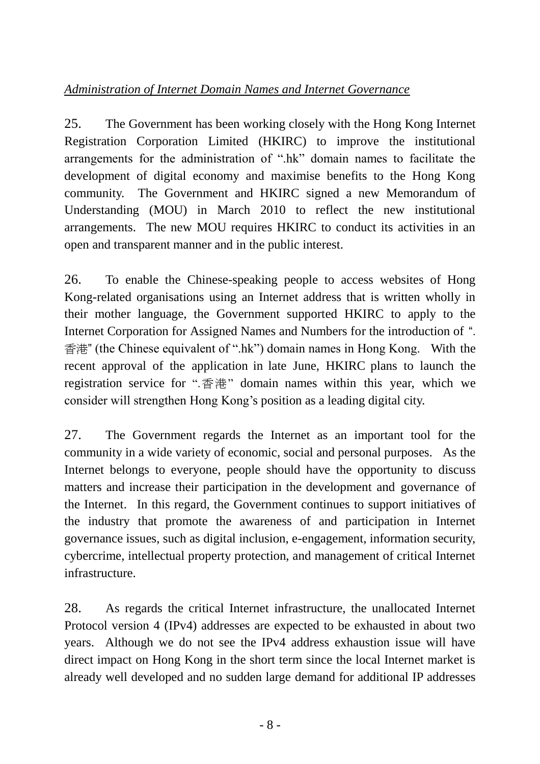# *Administration of Internet Domain Names and Internet Governance*

25. The Government has been working closely with the Hong Kong Internet Registration Corporation Limited (HKIRC) to improve the institutional arrangements for the administration of ".hk" domain names to facilitate the development of digital economy and maximise benefits to the Hong Kong community. The Government and HKIRC signed a new Memorandum of Understanding (MOU) in March 2010 to reflect the new institutional arrangements. The new MOU requires HKIRC to conduct its activities in an open and transparent manner and in the public interest.

26. To enable the Chinese-speaking people to access websites of Hong Kong-related organisations using an Internet address that is written wholly in their mother language, the Government supported HKIRC to apply to the Internet Corporation for Assigned Names and Numbers for the introduction of ". 香港" (the Chinese equivalent of ".hk") domain names in Hong Kong. With the recent approval of the application in late June, HKIRC plans to launch the registration service for ".香港" domain names within this year, which we consider will strengthen Hong Kong's position as a leading digital city.

27. The Government regards the Internet as an important tool for the community in a wide variety of economic, social and personal purposes. As the Internet belongs to everyone, people should have the opportunity to discuss matters and increase their participation in the development and governance of the Internet. In this regard, the Government continues to support initiatives of the industry that promote the awareness of and participation in Internet governance issues, such as digital inclusion, e-engagement, information security, cybercrime, intellectual property protection, and management of critical Internet infrastructure.

28. As regards the critical Internet infrastructure, the unallocated Internet Protocol version 4 (IPv4) addresses are expected to be exhausted in about two years. Although we do not see the IPv4 address exhaustion issue will have direct impact on Hong Kong in the short term since the local Internet market is already well developed and no sudden large demand for additional IP addresses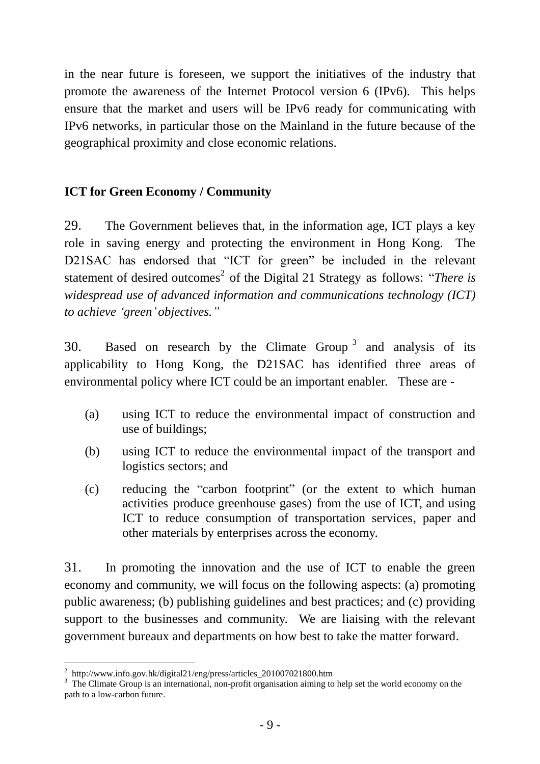in the near future is foreseen, we support the initiatives of the industry that promote the awareness of the Internet Protocol version 6 (IPv6). This helps ensure that the market and users will be IPv6 ready for communicating with IPv6 networks, in particular those on the Mainland in the future because of the geographical proximity and close economic relations.

### **ICT for Green Economy / Community**

29. The Government believes that, in the information age, ICT plays a key role in saving energy and protecting the environment in Hong Kong. The D21SAC has endorsed that "ICT for green" be included in the relevant statement of desired outcomes<sup>2</sup> of the Digital 21 Strategy as follows: "*There is widespread use of advanced information and communications technology (ICT) to achieve 'green' objectives."*

30. Based on research by the Climate Group<sup>3</sup> and analysis of its applicability to Hong Kong, the D21SAC has identified three areas of environmental policy where ICT could be an important enabler. These are -

- (a) using ICT to reduce the environmental impact of construction and use of buildings;
- (b) using ICT to reduce the environmental impact of the transport and logistics sectors; and
- (c) reducing the "carbon footprint" (or the extent to which human activities produce greenhouse gases) from the use of ICT, and using ICT to reduce consumption of transportation services, paper and other materials by enterprises across the economy.

31. In promoting the innovation and the use of ICT to enable the green economy and community, we will focus on the following aspects: (a) promoting public awareness; (b) publishing guidelines and best practices; and (c) providing support to the businesses and community. We are liaising with the relevant government bureaux and departments on how best to take the matter forward.

 $\overline{a}$ <sup>2</sup> http://www.info.gov.hk/digital21/eng/press/articles\_201007021800.htm

<sup>&</sup>lt;sup>3</sup> The Climate Group is an international, non-profit organisation aiming to help set the world economy on the path to a low-carbon future.